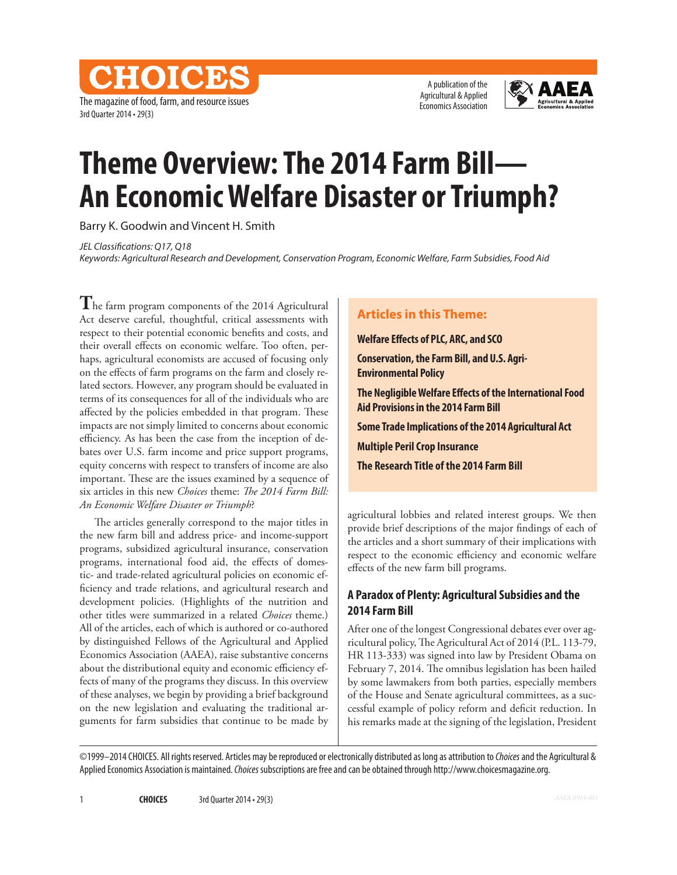The magazine of food, farm, and resource issues 3rd Quarter 2014 • 29(3)

**CHOICES** 

A publication of the Agricultural & Applied Economics Association



# **Theme Overview: The 2014 Farm Bill— An Economic Welfare Disaster or Triumph?**

Barry K. Goodwin and Vincent H. Smith

*JEL Classifications: Q17, Q18*

*Keywords: Agricultural Research and Development, Conservation Program, Economic Welfare, Farm Subsidies, Food Aid*

**T**he farm program components of the 2014 Agricultural Act deserve careful, thoughtful, critical assessments with respect to their potential economic benefits and costs, and their overall effects on economic welfare. Too often, perhaps, agricultural economists are accused of focusing only on the effects of farm programs on the farm and closely related sectors. However, any program should be evaluated in terms of its consequences for all of the individuals who are affected by the policies embedded in that program. These impacts are not simply limited to concerns about economic efficiency. As has been the case from the inception of debates over U.S. farm income and price support programs, equity concerns with respect to transfers of income are also important. These are the issues examined by a sequence of six articles in this new *Choices* theme: *The 2014 Farm Bill: An Economic Welfare Disaster or Triumph*?

The articles generally correspond to the major titles in the new farm bill and address price- and income-support programs, subsidized agricultural insurance, conservation programs, international food aid, the effects of domestic- and trade-related agricultural policies on economic efficiency and trade relations, and agricultural research and development policies. (Highlights of the nutrition and other titles were summarized in a related *Choices* theme.) All of the articles, each of which is authored or co-authored by distinguished Fellows of the Agricultural and Applied Economics Association (AAEA), raise substantive concerns about the distributional equity and economic efficiency effects of many of the programs they discuss. In this overview of these analyses, we begin by providing a brief background on the new legislation and evaluating the traditional arguments for farm subsidies that continue to be made by

### **Articles in this Theme:**

**Welfare Effects of PLC, ARC, and SCO**

**Conservation, the Farm Bill, and U.S. Agri-Environmental Policy**

**The Negligible Welfare Effects of the International Food Aid Provisions in the 2014 Farm Bill**

**Some Trade Implications of the 2014 Agricultural Act**

**Multiple Peril Crop Insurance**

**The Research Title of the 2014 Farm Bill**

agricultural lobbies and related interest groups. We then provide brief descriptions of the major findings of each of the articles and a short summary of their implications with respect to the economic efficiency and economic welfare effects of the new farm bill programs.

## **A Paradox of Plenty: Agricultural Subsidies and the 2014 Farm Bill**

After one of the longest Congressional debates ever over agricultural policy, The Agricultural Act of 2014 (P.L. 113-79, HR 113-333) was signed into law by President Obama on February 7, 2014. The omnibus legislation has been hailed by some lawmakers from both parties, especially members of the House and Senate agricultural committees, as a successful example of policy reform and deficit reduction. In his remarks made at the signing of the legislation, President

©1999–2014 CHOICES. All rights reserved. Articles may be reproduced or electronically distributed as long as attribution to *Choices* and the Agricultural & Applied Economics Association is maintained. *Choices* subscriptions are free and can be obtained through http://www.choicesmagazine.org.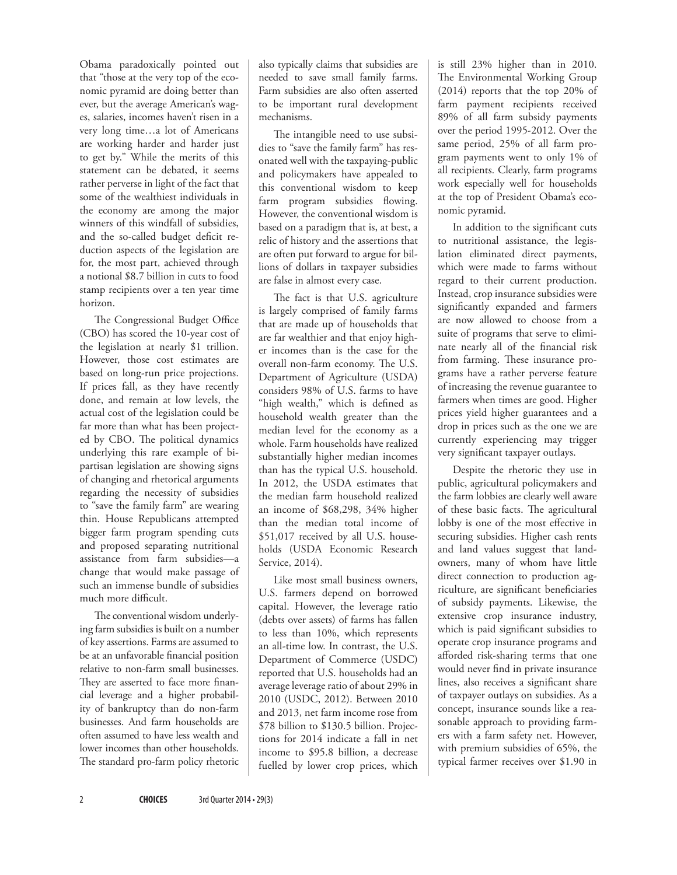Obama paradoxically pointed out that "those at the very top of the economic pyramid are doing better than ever, but the average American's wages, salaries, incomes haven't risen in a very long time…a lot of Americans are working harder and harder just to get by." While the merits of this statement can be debated, it seems rather perverse in light of the fact that some of the wealthiest individuals in the economy are among the major winners of this windfall of subsidies, and the so-called budget deficit reduction aspects of the legislation are for, the most part, achieved through a notional \$8.7 billion in cuts to food stamp recipients over a ten year time horizon.

The Congressional Budget Office (CBO) has scored the 10-year cost of the legislation at nearly \$1 trillion. However, those cost estimates are based on long-run price projections. If prices fall, as they have recently done, and remain at low levels, the actual cost of the legislation could be far more than what has been projected by CBO. The political dynamics underlying this rare example of bipartisan legislation are showing signs of changing and rhetorical arguments regarding the necessity of subsidies to "save the family farm" are wearing thin. House Republicans attempted bigger farm program spending cuts and proposed separating nutritional assistance from farm subsidies—a change that would make passage of such an immense bundle of subsidies much more difficult.

The conventional wisdom underlying farm subsidies is built on a number of key assertions. Farms are assumed to be at an unfavorable financial position relative to non-farm small businesses. They are asserted to face more financial leverage and a higher probability of bankruptcy than do non-farm businesses. And farm households are often assumed to have less wealth and lower incomes than other households. The standard pro-farm policy rhetoric also typically claims that subsidies are needed to save small family farms. Farm subsidies are also often asserted to be important rural development mechanisms.

The intangible need to use subsidies to "save the family farm" has resonated well with the taxpaying-public and policymakers have appealed to this conventional wisdom to keep farm program subsidies flowing. However, the conventional wisdom is based on a paradigm that is, at best, a relic of history and the assertions that are often put forward to argue for billions of dollars in taxpayer subsidies are false in almost every case.

The fact is that U.S. agriculture is largely comprised of family farms that are made up of households that are far wealthier and that enjoy higher incomes than is the case for the overall non-farm economy. The U.S. Department of Agriculture (USDA) considers 98% of U.S. farms to have "high wealth," which is defined as household wealth greater than the median level for the economy as a whole. Farm households have realized substantially higher median incomes than has the typical U.S. household. In 2012, the USDA estimates that the median farm household realized an income of \$68,298, 34% higher than the median total income of \$51,017 received by all U.S. households (USDA Economic Research Service, 2014).

Like most small business owners, U.S. farmers depend on borrowed capital. However, the leverage ratio (debts over assets) of farms has fallen to less than 10%, which represents an all-time low. In contrast, the U.S. Department of Commerce (USDC) reported that U.S. households had an average leverage ratio of about 29% in 2010 (USDC, 2012). Between 2010 and 2013, net farm income rose from \$78 billion to \$130.5 billion. Projections for 2014 indicate a fall in net income to \$95.8 billion, a decrease fuelled by lower crop prices, which

is still 23% higher than in 2010. The Environmental Working Group (2014) reports that the top 20% of farm payment recipients received 89% of all farm subsidy payments over the period 1995-2012. Over the same period, 25% of all farm program payments went to only 1% of all recipients. Clearly, farm programs work especially well for households at the top of President Obama's economic pyramid.

In addition to the significant cuts to nutritional assistance, the legislation eliminated direct payments, which were made to farms without regard to their current production. Instead, crop insurance subsidies were significantly expanded and farmers are now allowed to choose from a suite of programs that serve to eliminate nearly all of the financial risk from farming. These insurance programs have a rather perverse feature of increasing the revenue guarantee to farmers when times are good. Higher prices yield higher guarantees and a drop in prices such as the one we are currently experiencing may trigger very significant taxpayer outlays.

Despite the rhetoric they use in public, agricultural policymakers and the farm lobbies are clearly well aware of these basic facts. The agricultural lobby is one of the most effective in securing subsidies. Higher cash rents and land values suggest that landowners, many of whom have little direct connection to production agriculture, are significant beneficiaries of subsidy payments. Likewise, the extensive crop insurance industry, which is paid significant subsidies to operate crop insurance programs and afforded risk-sharing terms that one would never find in private insurance lines, also receives a significant share of taxpayer outlays on subsidies. As a concept, insurance sounds like a reasonable approach to providing farmers with a farm safety net. However, with premium subsidies of 65%, the typical farmer receives over \$1.90 in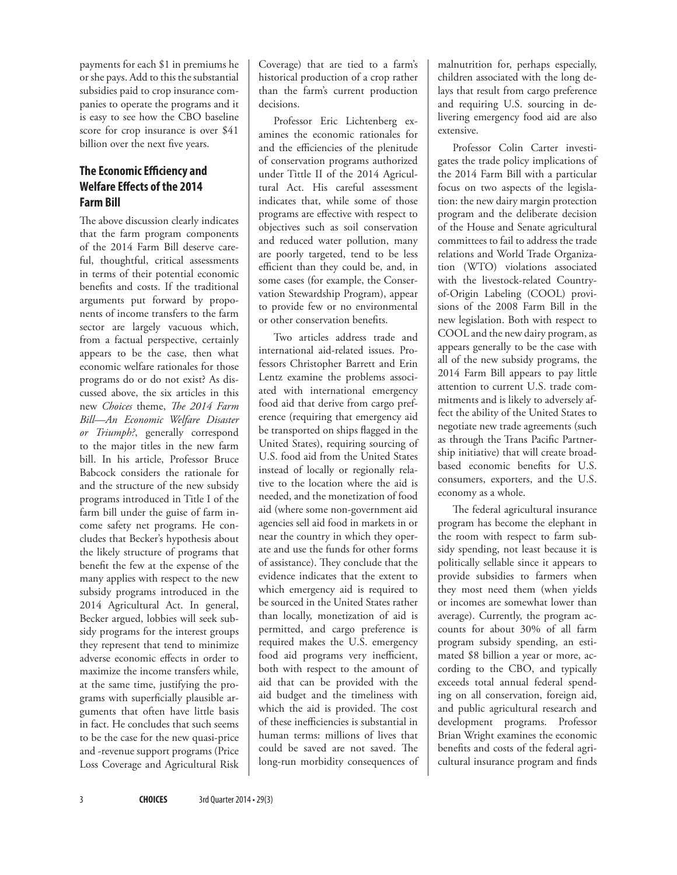payments for each \$1 in premiums he or she pays. Add to this the substantial subsidies paid to crop insurance companies to operate the programs and it is easy to see how the CBO baseline score for crop insurance is over \$41 billion over the next five years.

## **The Economic Efficiency and Welfare Effects of the 2014 Farm Bill**

The above discussion clearly indicates that the farm program components of the 2014 Farm Bill deserve careful, thoughtful, critical assessments in terms of their potential economic benefits and costs. If the traditional arguments put forward by proponents of income transfers to the farm sector are largely vacuous which, from a factual perspective, certainly appears to be the case, then what economic welfare rationales for those programs do or do not exist? As discussed above, the six articles in this new *Choices* theme, *The 2014 Farm Bill—An Economic Welfare Disaster or Triumph?*, generally correspond to the major titles in the new farm bill. In his article, Professor Bruce Babcock considers the rationale for and the structure of the new subsidy programs introduced in Title I of the farm bill under the guise of farm income safety net programs. He concludes that Becker's hypothesis about the likely structure of programs that benefit the few at the expense of the many applies with respect to the new subsidy programs introduced in the 2014 Agricultural Act. In general, Becker argued, lobbies will seek subsidy programs for the interest groups they represent that tend to minimize adverse economic effects in order to maximize the income transfers while, at the same time, justifying the programs with superficially plausible arguments that often have little basis in fact. He concludes that such seems to be the case for the new quasi-price and -revenue support programs (Price Loss Coverage and Agricultural Risk Coverage) that are tied to a farm's historical production of a crop rather than the farm's current production decisions.

Professor Eric Lichtenberg examines the economic rationales for and the efficiencies of the plenitude of conservation programs authorized under Tittle II of the 2014 Agricultural Act. His careful assessment indicates that, while some of those programs are effective with respect to objectives such as soil conservation and reduced water pollution, many are poorly targeted, tend to be less efficient than they could be, and, in some cases (for example, the Conservation Stewardship Program), appear to provide few or no environmental or other conservation benefits.

Two articles address trade and international aid-related issues. Professors Christopher Barrett and Erin Lentz examine the problems associated with international emergency food aid that derive from cargo preference (requiring that emergency aid be transported on ships flagged in the United States), requiring sourcing of U.S. food aid from the United States instead of locally or regionally relative to the location where the aid is needed, and the monetization of food aid (where some non-government aid agencies sell aid food in markets in or near the country in which they operate and use the funds for other forms of assistance). They conclude that the evidence indicates that the extent to which emergency aid is required to be sourced in the United States rather than locally, monetization of aid is permitted, and cargo preference is required makes the U.S. emergency food aid programs very inefficient, both with respect to the amount of aid that can be provided with the aid budget and the timeliness with which the aid is provided. The cost of these inefficiencies is substantial in human terms: millions of lives that could be saved are not saved. The long-run morbidity consequences of malnutrition for, perhaps especially, children associated with the long delays that result from cargo preference and requiring U.S. sourcing in delivering emergency food aid are also extensive.

Professor Colin Carter investigates the trade policy implications of the 2014 Farm Bill with a particular focus on two aspects of the legislation: the new dairy margin protection program and the deliberate decision of the House and Senate agricultural committees to fail to address the trade relations and World Trade Organization (WTO) violations associated with the livestock-related Countryof-Origin Labeling (COOL) provisions of the 2008 Farm Bill in the new legislation. Both with respect to COOL and the new dairy program, as appears generally to be the case with all of the new subsidy programs, the 2014 Farm Bill appears to pay little attention to current U.S. trade commitments and is likely to adversely affect the ability of the United States to negotiate new trade agreements (such as through the Trans Pacific Partnership initiative) that will create broadbased economic benefits for U.S. consumers, exporters, and the U.S. economy as a whole.

The federal agricultural insurance program has become the elephant in the room with respect to farm subsidy spending, not least because it is politically sellable since it appears to provide subsidies to farmers when they most need them (when yields or incomes are somewhat lower than average). Currently, the program accounts for about 30% of all farm program subsidy spending, an estimated \$8 billion a year or more, according to the CBO, and typically exceeds total annual federal spending on all conservation, foreign aid, and public agricultural research and development programs. Professor Brian Wright examines the economic benefits and costs of the federal agricultural insurance program and finds